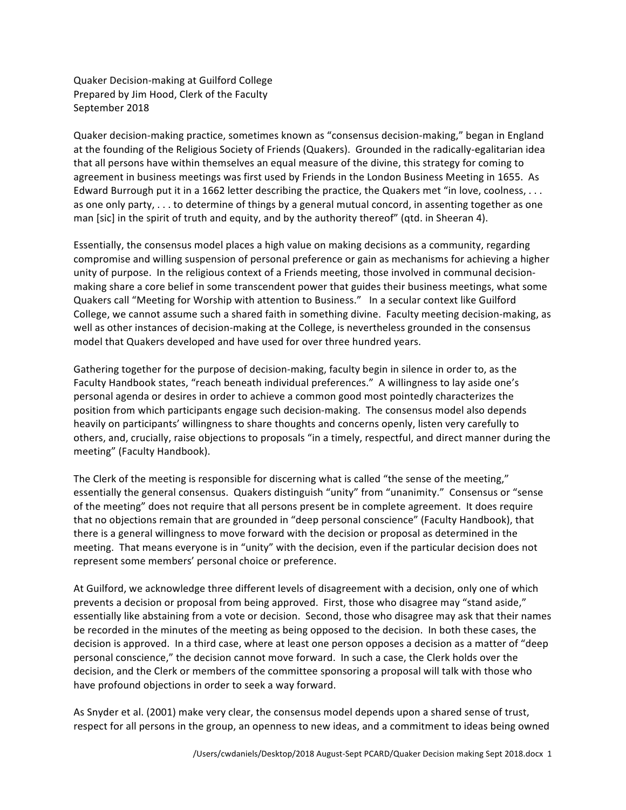Quaker Decision-making at Guilford College Prepared by Jim Hood, Clerk of the Faculty September 2018

Quaker decision-making practice, sometimes known as "consensus decision-making," began in England at the founding of the Religious Society of Friends (Quakers). Grounded in the radically-egalitarian idea that all persons have within themselves an equal measure of the divine, this strategy for coming to agreement in business meetings was first used by Friends in the London Business Meeting in 1655. As Edward Burrough put it in a 1662 letter describing the practice, the Quakers met "in love, coolness, . . . as one only party,  $\dots$  to determine of things by a general mutual concord, in assenting together as one man [sic] in the spirit of truth and equity, and by the authority thereof" (qtd. in Sheeran 4).

Essentially, the consensus model places a high value on making decisions as a community, regarding compromise and willing suspension of personal preference or gain as mechanisms for achieving a higher unity of purpose. In the religious context of a Friends meeting, those involved in communal decisionmaking share a core belief in some transcendent power that guides their business meetings, what some Quakers call "Meeting for Worship with attention to Business." In a secular context like Guilford College, we cannot assume such a shared faith in something divine. Faculty meeting decision-making, as well as other instances of decision-making at the College, is nevertheless grounded in the consensus model that Quakers developed and have used for over three hundred years.

Gathering together for the purpose of decision-making, faculty begin in silence in order to, as the Faculty Handbook states, "reach beneath individual preferences." A willingness to lay aside one's personal agenda or desires in order to achieve a common good most pointedly characterizes the position from which participants engage such decision-making. The consensus model also depends heavily on participants' willingness to share thoughts and concerns openly, listen very carefully to others, and, crucially, raise objections to proposals "in a timely, respectful, and direct manner during the meeting" (Faculty Handbook).

The Clerk of the meeting is responsible for discerning what is called "the sense of the meeting," essentially the general consensus. Quakers distinguish "unity" from "unanimity." Consensus or "sense of the meeting" does not require that all persons present be in complete agreement. It does require that no objections remain that are grounded in "deep personal conscience" (Faculty Handbook), that there is a general willingness to move forward with the decision or proposal as determined in the meeting. That means everyone is in "unity" with the decision, even if the particular decision does not represent some members' personal choice or preference.

At Guilford, we acknowledge three different levels of disagreement with a decision, only one of which prevents a decision or proposal from being approved. First, those who disagree may "stand aside," essentially like abstaining from a vote or decision. Second, those who disagree may ask that their names be recorded in the minutes of the meeting as being opposed to the decision. In both these cases, the decision is approved. In a third case, where at least one person opposes a decision as a matter of "deep personal conscience," the decision cannot move forward. In such a case, the Clerk holds over the decision, and the Clerk or members of the committee sponsoring a proposal will talk with those who have profound objections in order to seek a way forward.

As Snyder et al. (2001) make very clear, the consensus model depends upon a shared sense of trust, respect for all persons in the group, an openness to new ideas, and a commitment to ideas being owned